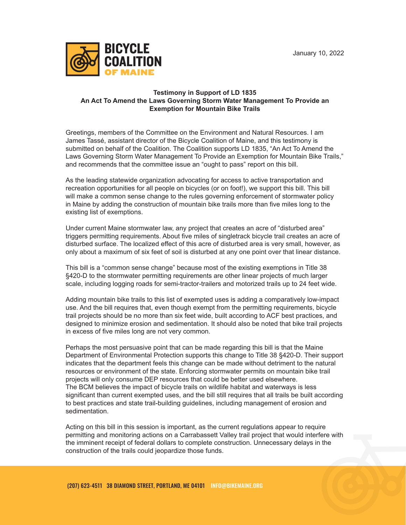

## **Testimony in Support of LD 1835 An Act To Amend the Laws Governing Storm Water Management To Provide an Exemption for Mountain Bike Trails**

Greetings, members of the Committee on the Environment and Natural Resources. I am James Tassé, assistant director of the Bicycle Coalition of Maine, and this testimony is submitted on behalf of the Coalition. The Coalition supports LD 1835, "An Act To Amend the Laws Governing Storm Water Management To Provide an Exemption for Mountain Bike Trails," and recommends that the committee issue an "ought to pass" report on this bill.

As the leading statewide organization advocating for access to active transportation and recreation opportunities for all people on bicycles (or on foot!), we support this bill. This bill will make a common sense change to the rules governing enforcement of stormwater policy in Maine by adding the construction of mountain bike trails more than five miles long to the existing list of exemptions.

Under current Maine stormwater law, any project that creates an acre of "disturbed area" triggers permitting requirements. About five miles of singletrack bicycle trail creates an acre of disturbed surface. The localized effect of this acre of disturbed area is very small, however, as only about a maximum of six feet of soil is disturbed at any one point over that linear distance.

This bill is a "common sense change" because most of the existing exemptions in Title 38 §420-D to the stormwater permitting requirements are other linear projects of much larger scale, including logging roads for semi-tractor-trailers and motorized trails up to 24 feet wide.

Adding mountain bike trails to this list of exempted uses is adding a comparatively low-impact use. And the bill requires that, even though exempt from the permitting requirements, bicycle trail projects should be no more than six feet wide, built according to ACF best practices, and designed to minimize erosion and sedimentation. It should also be noted that bike trail projects in excess of five miles long are not very common.

Perhaps the most persuasive point that can be made regarding this bill is that the Maine Department of Environmental Protection supports this change to Title 38 §420-D. Their support indicates that the department feels this change can be made without detriment to the natural resources or environment of the state. Enforcing stormwater permits on mountain bike trail projects will only consume DEP resources that could be better used elsewhere. The BCM believes the impact of bicycle trails on wildlife habitat and waterways is less significant than current exempted uses, and the bill still requires that all trails be built according to best practices and state trail-building guidelines, including management of erosion and sedimentation.

Acting on this bill in this session is important, as the current regulations appear to require permitting and monitoring actions on a Carrabassett Valley trail project that would interfere with the imminent receipt of federal dollars to complete construction. Unnecessary delays in the construction of the trails could jeopardize those funds.